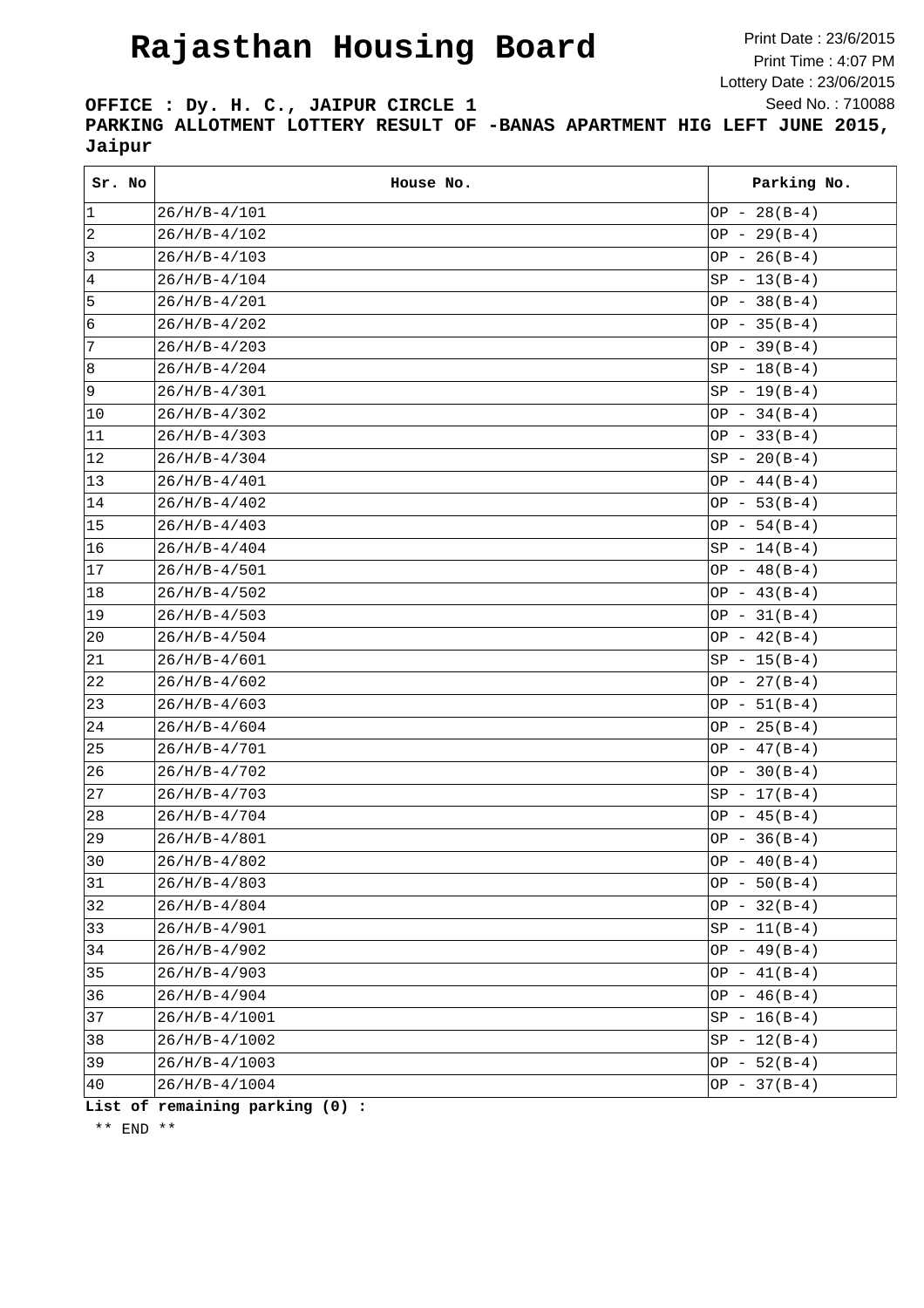## **Rajasthan Housing Board**

Print Date : 23/6/2015 Print Time : 4:07 PM Lottery Date : 23/06/2015 Seed No. : 710088

**OFFICE : Dy. H. C., JAIPUR CIRCLE 1 PARKING ALLOTMENT LOTTERY RESULT OF -BANAS APARTMENT HIG LEFT JUNE 2015, Jaipur**

| Sr. No         | House No.       | Parking No.    |
|----------------|-----------------|----------------|
| 1              | $26/H/B-4/101$  | OP $-28(B-4)$  |
| $\overline{2}$ | $26/H/B-4/102$  | OP - $29(B-4)$ |
| $\mathsf 3$    | $26/H/B-4/103$  | OP - $26(B-4)$ |
| $\,4$          | $26/H/B-4/104$  | $SP - 13(B-4)$ |
| 5              | $26/H/B-4/201$  | OP - $38(B-4)$ |
| 6              | $26/H/B-4/202$  | OP - $35(B-4)$ |
| 7              | $26/H/B-4/203$  | OP - $39(B-4)$ |
| 8              | $26/H/B-4/204$  | $SP - 18(B-4)$ |
| 9              | $26/H/B-4/301$  | $SP - 19(B-4)$ |
| 10             | $26/H/B-4/302$  | $OP - 34(B-4)$ |
| 11             | $26/H/B-4/303$  | OP - $33(B-4)$ |
| 12             | $26/H/B-4/304$  | $SP - 20(B-4)$ |
| $ 13\rangle$   | $26/H/B-4/401$  | OP $-44(B-4)$  |
| 14             | $26/H/B-4/402$  | OP $-53(B-4)$  |
| 15             | $26/H/B-4/403$  | OP $-54(B-4)$  |
| 16             | $26/H/B-4/404$  | $SP - 14(B-4)$ |
| 17             | $26/H/B-4/501$  | OP $-48(B-4)$  |
| 18             | $26/H/B-4/502$  | $OP - 43(B-4)$ |
| 19             | $26/H/B-4/503$  | $OP - 31(B-4)$ |
| $ 20\rangle$   | $26/H/B-4/504$  | OP $-42(B-4)$  |
| 21             | $26/H/B-4/601$  | $SP - 15(B-4)$ |
| 22             | $26/H/B-4/602$  | $OP - 27(B-4)$ |
| 23             | $26/H/B-4/603$  | $OP - 51(B-4)$ |
| 24             | $26/H/B-4/604$  | OP - $25(B-4)$ |
| 25             | $26/H/B-4/701$  | OP - $47(B-4)$ |
| 26             | $26/H/B-4/702$  | $OP - 30(B-4)$ |
| 27             | $26/H/B-4/703$  | $SP - 17(B-4)$ |
| 28             | $26/H/B-4/704$  | $OP - 45(B-4)$ |
| 29             | $26/H/B-4/801$  | OP - $36(B-4)$ |
| 30             | $26/H/B-4/802$  | $OP - 40(B-4)$ |
| 31             | $26/H/B-4/803$  | $OP - 50(B-4)$ |
| 32             | $26/H/B-4/804$  | $OP - 32(B-4)$ |
| 33             | $26/H/B-4/901$  | $SP - 11(B-4)$ |
| 34             | $26/H/B-4/902$  | OP $-49(B-4)$  |
| 35             | $26/H/B-4/903$  | OP $-41(B-4)$  |
| 36             | $26/H/B-4/904$  | $OP - 46(B-4)$ |
| 37             | $26/H/B-4/1001$ | $SP - 16(B-4)$ |
| 38             | $26/H/B-4/1002$ | $SP - 12(B-4)$ |
| 39             | $26/H/B-4/1003$ | $OP - 52(B-4)$ |
| 40             | 26/H/B-4/1004   | $OP - 37(B-4)$ |

**List of remaining parking (0) :**

\*\* END \*\*